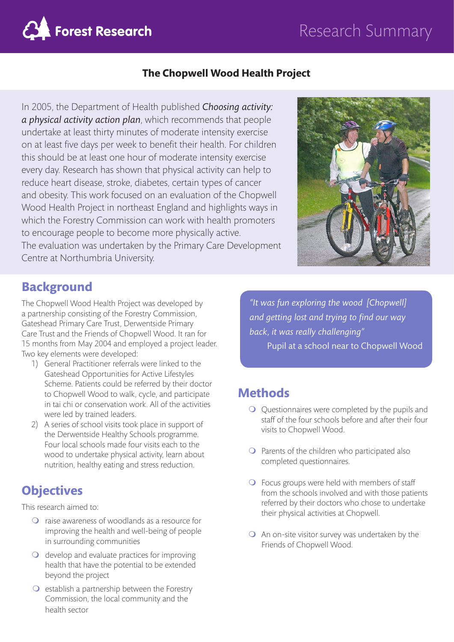# Research Summary



#### **The Chopwell Wood Health Project**

In 2005, the Department of Health published *Choosing activity: a physical activity action plan*, which recommends that people undertake at least thirty minutes of moderate intensity exercise on at least five days per week to benefit their health. For children this should be at least one hour of moderate intensity exercise every day. Research has shown that physical activity can help to reduce heart disease, stroke, diabetes, certain types of cancer and obesity. This work focused on an evaluation of the Chopwell Wood Health Project in northeast England and highlights ways in which the Forestry Commission can work with health promoters to encourage people to become more physically active. The evaluation was undertaken by the Primary Care Development Centre at Northumbria University.



#### **Background**

The Chopwell Wood Health Project was developed by a partnership consisting of the Forestry Commission, Gateshead Primary Care Trust, Derwentside Primary Care Trust and the Friends of Chopwell Wood. It ran for 15 months from May 2004 and employed a project leader. Two key elements were developed:

- 1) General Practitioner referrals were linked to the Gateshead Opportunities for Active Lifestyles Scheme. Patients could be referred by their doctor to Chopwell Wood to walk, cycle, and participate in tai chi or conservation work. All of the activities were led by trained leaders.
- 2) A series of school visits took place in support of the Derwentside Healthy Schools programme. Four local schools made four visits each to the wood to undertake physical activity, learn about nutrition, healthy eating and stress reduction.

## **Objectives**

This research aimed to:

- $\Omega$  raise awareness of woodlands as a resource for improving the health and well-being of people in surrounding communities
- $\bigcirc$  develop and evaluate practices for improving health that have the potential to be extended beyond the project
- $\Omega$  establish a partnership between the Forestry Commission, the local community and the health sector

*"It was fun exploring the wood [Chopwell] and getting lost and trying to find our way back, it was really challenging"*  Pupil at a school near to Chopwell Wood

## **Methods**

- $\bigcirc$  Questionnaires were completed by the pupils and staff of the four schools before and after their four visits to Chopwell Wood.
- $\Omega$  Parents of the children who participated also completed questionnaires.
- $\bigcirc$  Focus groups were held with members of staff from the schools involved and with those patients referred by their doctors who chose to undertake their physical activities at Chopwell.
- $\bigcirc$  An on-site visitor survey was undertaken by the Friends of Chopwell Wood.